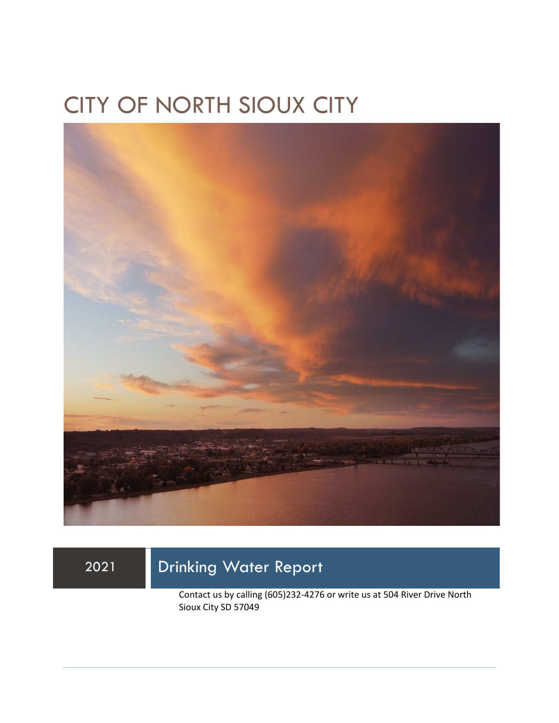## CITY OF NORTH SIOUX CITY



## 2021 Drinking Water Report

Contact us by calling (605)232-4276 or write us at 504 River Drive North Sioux City SD 57049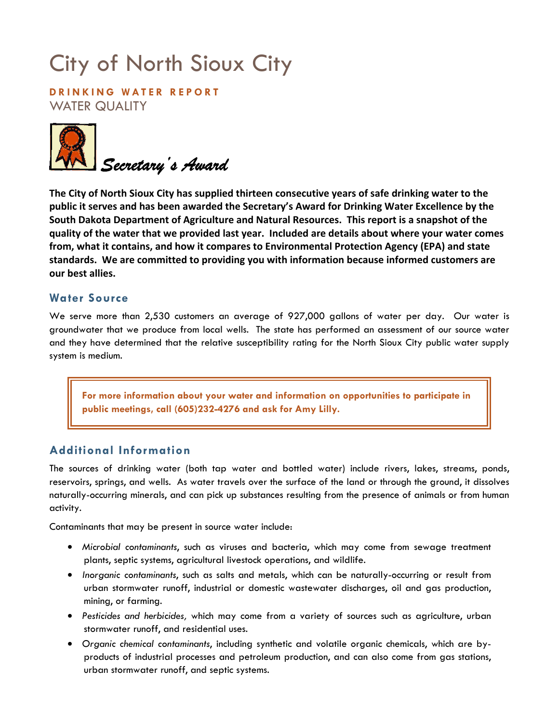# City of North Sioux City

**DRINKING WATER REPORT**  WATER QUALITY



**The City of North Sioux City has supplied thirteen consecutive years of safe drinking water to the public it serves and has been awarded the Secretary's Award for Drinking Water Excellence by the South Dakota Department of Agriculture and Natural Resources. This report is a snapshot of the quality of the water that we provided last year. Included are details about where your water comes from, what it contains, and how it compares to Environmental Protection Agency (EPA) and state standards. We are committed to providing you with information because informed customers are our best allies.** 

#### **Water Source**

We serve more than 2,530 customers an average of 927,000 gallons of water per day. Our water is groundwater that we produce from local wells. The state has performed an assessment of our source water and they have determined that the relative susceptibility rating for the North Sioux City public water supply system is medium.

**For more information about your water and information on opportunities to participate in public meetings, call (605)232-4276 and ask for Amy Lilly.** 

### **Additional Information**

The sources of drinking water (both tap water and bottled water) include rivers, lakes, streams, ponds, reservoirs, springs, and wells. As water travels over the surface of the land or through the ground, it dissolves naturally-occurring minerals, and can pick up substances resulting from the presence of animals or from human activity.

Contaminants that may be present in source water include:

- *Microbial contaminants*, such as viruses and bacteria, which may come from sewage treatment plants, septic systems, agricultural livestock operations, and wildlife.
- *Inorganic contaminants*, such as salts and metals, which can be naturally-occurring or result from urban stormwater runoff, industrial or domestic wastewater discharges, oil and gas production, mining, or farming.
- *Pesticides and herbicides,* which may come from a variety of sources such as agriculture, urban stormwater runoff, and residential uses.
- *Organic chemical contaminants*, including synthetic and volatile organic chemicals, which are byproducts of industrial processes and petroleum production, and can also come from gas stations, urban stormwater runoff, and septic systems.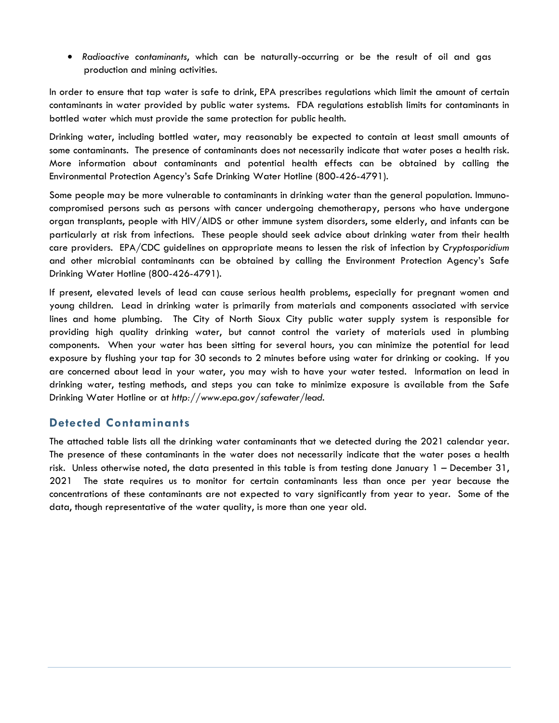• *Radioactive contaminants*, which can be naturally-occurring or be the result of oil and gas production and mining activities.

In order to ensure that tap water is safe to drink, EPA prescribes regulations which limit the amount of certain contaminants in water provided by public water systems. FDA regulations establish limits for contaminants in bottled water which must provide the same protection for public health.

Drinking water, including bottled water, may reasonably be expected to contain at least small amounts of some contaminants. The presence of contaminants does not necessarily indicate that water poses a health risk. More information about contaminants and potential health effects can be obtained by calling the Environmental Protection Agency's Safe Drinking Water Hotline (800-426-4791).

Some people may be more vulnerable to contaminants in drinking water than the general population. Immunocompromised persons such as persons with cancer undergoing chemotherapy, persons who have undergone organ transplants, people with HIV/AIDS or other immune system disorders, some elderly, and infants can be particularly at risk from infections. These people should seek advice about drinking water from their health care providers. EPA/CDC guidelines on appropriate means to lessen the risk of infection by *Cryptosporidium* and other microbial contaminants can be obtained by calling the Environment Protection Agency's Safe Drinking Water Hotline (800-426-4791).

If present, elevated levels of lead can cause serious health problems, especially for pregnant women and young children. Lead in drinking water is primarily from materials and components associated with service lines and home plumbing. The City of North Sioux City public water supply system is responsible for providing high quality drinking water, but cannot control the variety of materials used in plumbing components. When your water has been sitting for several hours, you can minimize the potential for lead exposure by flushing your tap for 30 seconds to 2 minutes before using water for drinking or cooking. If you are concerned about lead in your water, you may wish to have your water tested. Information on lead in drinking water, testing methods, and steps you can take to minimize exposure is available from the Safe Drinking Water Hotline or at *http://www.epa.gov/safewater/lead*.

### **Detected Contaminants**

The attached table lists all the drinking water contaminants that we detected during the 2021 calendar year. The presence of these contaminants in the water does not necessarily indicate that the water poses a health risk. Unless otherwise noted, the data presented in this table is from testing done January 1 – December 31, 2021 The state requires us to monitor for certain contaminants less than once per year because the concentrations of these contaminants are not expected to vary significantly from year to year. Some of the data, though representative of the water quality, is more than one year old.